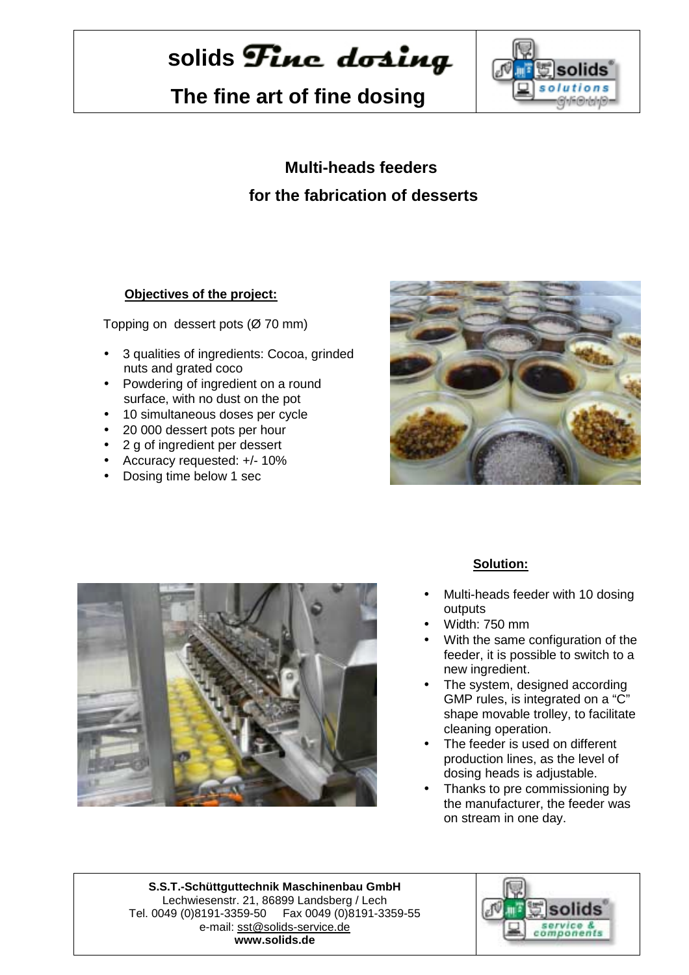# solids **Finc** dosing

 **The fine art of fine dosing**



### **Multi-heads feeders for the fabrication of desserts**

#### **Objectives of the project:**

Topping on dessert pots (Ø 70 mm)

- 3 qualities of ingredients: Cocoa, grinded nuts and grated coco
- Powdering of ingredient on a round surface, with no dust on the pot
- 10 simultaneous doses per cycle
- 20 000 dessert pots per hour
- 2 g of ingredient per dessert
- Accuracy requested: +/- 10%
- Dosing time below 1 sec





#### **Solution:**

- Multi-heads feeder with 10 dosing outputs
- Width: 750 mm
- With the same configuration of the feeder, it is possible to switch to a new ingredient.
- The system, designed according GMP rules, is integrated on a "C" shape movable trolley, to facilitate cleaning operation.
- The feeder is used on different production lines, as the level of dosing heads is adjustable.
- Thanks to pre commissioning by the manufacturer, the feeder was on stream in one day.

**S.S.T.-Schüttguttechnik Maschinenbau GmbH** Lechwiesenstr. 21, 86899 Landsberg / Lech Tel. 0049 (0)8191-3359-50 Fax 0049 (0)8191-3359-55 e-mail: sst@solids-service.de **www.solids.de**